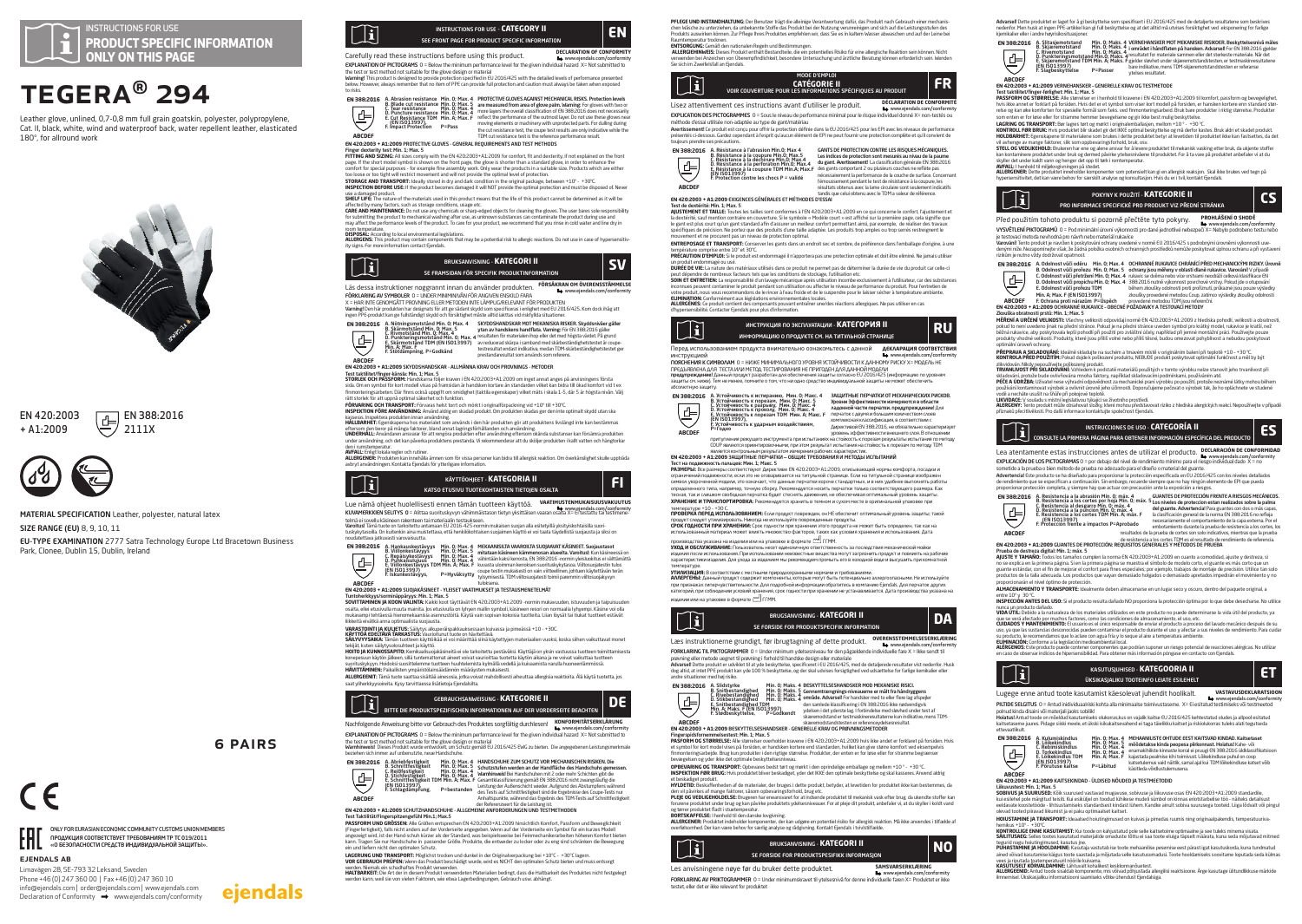

# TEGERA® 294

Leather glove, unlined, 0,7-0,8 mm full grain goatskin, polyester, polypropylene, Cat. II, black, white, wind and waterproof back, water repellent leather, elasticated 180°, for allround work



## EN 420:2003 + A1:2009



ejendals ab

Limavägen 28, SE-793 32 Leksand, Sweden Phone +46 (0) 247 360 00 | Fax +46 (0) 247 360 10 info@ejendals.com | order@ejendals.com | www.ejendals.com  $Declaration of Conformity \rightarrow www.eiendals.com/conformity$ 

ONLY FOR EURASIAN ECONOMIC COMMUNITY CUSTOMS UNION MEMBERS ПРОДУКЦИЯ СООТВЕТСТВУЕТ ТРЕБОВАНИЯМ ТР ТС 019/2011 «О БЕЗОПАСНОСТИ СРЕДСТВ ИНДИВИДУАЛЬНОЙ ЗАЩИТЫ».

#### MATERIAL SPECIFICATION Leather, polyester, natural latex

SIZE RANGE (EU) 8, 9, 10, 11

Park, Clonee, Dublin 15, Dublin, Ireland





EU-TYPE EXAMINATION 2777 Satra Technology Europe Ltd Bracetown Business



6 Pairs

eiendals

KUMANERKAIEN SELITYS 0 – Alittaa suorituskyvyn vähimmäistason tietyn yksittäisen vaaran olei turkivalteivaltakomi/centromit)<br>Namitsi Tana luoksen naikoitetti aritmiaan EU 2016-425-nomin mukaisen suojan aliseeteylillä yksit anovasti rattua.<br>Liskykytasoilla. On kuitenkin aina muist<br>~~ vlatettava iatkuvasti varovaisuutta.



KÄYTTÖOHJEET - **KATEGORIA II III KATEGORIA II FI** 

**INSTRUCTIONS FOR USE - CATEGORY II**<br>SEE FRONT PAGE FOR PRODUCT SPECIFIC INFORMATION

BRUKSANVISNING - **KATEGORI II III SUMPLE SUMPLE SUMPLE SUMPLE SUMPLE SUMPLE SUMPLE SUMPLE SUMPLE SUMPLE SUMPLE SUMPLE SUMPLE SUMPLE SUMPLE SUMPLE SUMPLE SUMPLE SUMPLE SUMPLE SUMPLE SUMPLE SUMPLE SUMPLE SUMPLE SUMPLE SUMP** 

SKYODSHANDSKAR MOT MEKANISKA RISKER. Skyddsnivåer gäller<br>ytan av handskens handflata. Varning: För EN 3682016 gäller<br>resultater för materialeri hop eller det med högsta värdet. På grund<br>av reducerad skärpa i samband med sk testresultat endast indikativa, medan TDM-skärbeständighetstestet ger<br>prestandaresultat som arwänds som referens.

Carefully read these instructions before using this product. **DECLARATION OF CONFOR**  www.ejendals.com/conformity EXPLANATION OF PICTOGRAMS 0 = Below the minimum performance level for the given individual hazard X= Not submitted to the test or test method not suitable for the glove design or material<br>Warming! This product is designed to provide protection specified in EU 2016/425 with the detailed levels of performance presented<br>below. However, alway

In this Control of Marsion resistance Min. 0; Max. 4 PROTECTIVE GLOVES AGAINST MECHANICAL RISKS. Protection Needs<br>
EN 388-2016 A. Advantiser Min. 0; Max. 4 are measured from area of glove plans whereinly for gloves with tw

**EN 4202003 + RIZ2009 PRINTCIPLE CLIVES - CENERAL REQUIRENTSITS ARE ITS PETITIODS**<br>**FITTER AND STARS: AN INSTANTATION COUPS:** A CHARGE AND CONTROL TO THE CHARGE AND THE CONSULTANT OF THE CONTROL OF<br>PITTER AND STARS: AN ISS use a damaged product.<br>CUCLC LICC: The pature of the materials used in this product means that the life of this product cappet he determined as it will be. **SHELF LIFE**: The nature of the materials used in this product means that the life of this product cannot be determined as it will be<br>**CARE AND MAINTENANCE**: Do not use any chemicals or sharp-edged objects for clearing the may aftect the performance levels of the product. To care bry your product, we recommend that you rinse in cold water and line dry in<br>Yourn periperature.<br>**ALLERGENS:** This product may contain composents that may be a poten

Läs dessa instruktioner noggrannt innan du använder produkten. **FÖRSÄKRAN OM ÖVERENSSTÄMMELSE** www.ejendals.com/conformity

Test taktilitet/finger-känsla: Min. 1; Max. 5 **STORLEK OCH PASSFORM:** Handskarna följer kraven i EN 420:2003+A1:2009 om inget annat anges på anvisningens första sida. Om en symbol för kort modell visas på framsidan är handsken kortare än standarden vilket kan bidra till ökad komfort vid t ex finmonteringsarbeten. Där finns också uppgift om smidighet (taktila egenskaper) vilket mäts i skala 1-5, där 5 är högsta nivån. Väli<br>Deten. Där finns också uppgift om smidighet (taktila egenskaper) vilket mäts i skala 1-5,

**FÖRVARING OCH TRANSPORT:** Förvaras helst torrt och mörkt i originalförpackning vid +10° till +30°C.<br>INSPEKTION FÖRE ANVÄNDNING: Använd aldrig en skadad omdukt. Om nodukten skadas ger den inte ontimalt skudd utan ska **INSPEKTION FORE ANVANDNING:** Använd aldrig en skadad produkt. Om produkten skadas ger den inte optimalt skydd utan ska<br>kasseras. Inspektera produkten innan användning.<br>**HÅLLBARHET:** Egenskaperna hos materialet som används ettersom den beror på många faktorer, bland annat lagringsförhällanden och användning.<br>**UNDERHALL:** Användaren ansvarar för att rengöra produkten efter användning eftersom okända substanser kan försämra produkten<br>under anv

**AVFALL:** Enligt lokala regler och rutiner.<br>**ALLERGEWER:** Produkten kan innehålla ämnen som för vissa personer kan bidra till allergisk reaktion. Om överkänslighet skulle uppträda<br>avbryt användningen. Kontakta Ejendals för

Lue nämä ohjeet huolellisesti ennen tämän tuotteen käyttöä. **VAATIMUSTENMUKAISUUSVAKUUTUS**

FÖRKLARING AV SYMBOLER 0 = UNDER MINIMINIVÅN FÖR ANGIVEN ENSKILD FARA X = HAR INTE GENOMGÅTT PROVNING ELLER METODEN INTE LÄMPLIG/RELEVANT FÖR PRODUKTEN varning! Den här produkten har designats för att ge sådant skydd som specificeras i enlighet med EU 2016/425. Kom dock ihåg att<br>Ingen PPE-produkt kan ge fullständigt skydd och försiktighet måste alltid iakttas vid riskfyll

mean <sup>194</sup> product an ge hubitance<br>  $\overline{AB}$  **EXECUTE THE CONSULTANT CONSULTANT CONSULTANT CONSULTANT CONSULTANT CONSULTANT CONSULTANT CONSULTANT CONSULTANT CONSULTANT CONSULTANT CONSULTANT CONSULTANT CONSULTANT CONSULTAN** 

**EN 420:2003 + A1:2009** SKYDDSHANDSKAR - ALLMÄNNA KRAV OCH PROVNINGS - METODER

ABCDEF TDM cut resistance test is the reference performance result.<br>FN 420-2003 + 41-2009 PROTECTIVE GLOVES - GENERAL PERIHPENENTS AND TEST METHODS

**EN 388:2016**

li

**ABCDEF**

**EN 388:2016**

Tì

**ABCDEF**

rätt storlek för att uppnå optimal säkerhet och funktion.

den i rumstemperatur.<br>AVFALL: Foliet lokala regler och rutiner.

Tì



**EN 420:2003 + A1:2009** SUOJAKÄSINEET - YLEISET VAATIMUKSET JA TESTAUSMENETELMÄT

Tuntoleekkyyskominäipääyys: Min. I. Max. Etyistelä EN 4202003-A1.2009 -nomin mukavuuden, istuvuuden ja taipuisuuden<br>S**OVITTAHINEN ja KOON VALINTA**: Kaikki koot täyttäviä EN 4202003-A1.2009 -nomin mukavuuden, istuvuuden ja

**WARATOMITIA RAUJETUS:** Säikytys alkuperäispalkauksessaan kuivessa ja piireissä –10 – -30C<br>KANTOMITIA RAUJETUS: Säikytys alkuperäispalkauksessaan kuivessa ja piireissä –10 – -30C<br>KANTOMIKAN liiselta sai ja piireissa tai su

BITTE DIE PRODUKTSPEZIFISCHEN INFORMATIONEN AUF DER VORDERSEITE BEACHTEN GEBRAUCHSANWEISUNG - **KATEGORIE II DE**

## Nachfolgende Anweisung bitte vor Gebrauch des Produktes sorgfältig durchlesen! **KONFORMITÄTSERKLÄRUNG** www.ejendals.com/conformity

**ABCDEF**

EXPLANATION OF PICTOGRAMS 0 = Below the minimum performance level for the given individual hazard X= Not submitted to the test or test method not suitable for the glove design or material<br>Warnhinweis! Dieses Produkt wurde entwickelt, um Schutz gemäß EU 2016/425 EWG zu bieten. Die angegebenen Leistungsmerkmale beziehen sich immer auf unbegutzte, neue Handschuhe.<br>Beziehen sich immer auf unbegutzte, neue Handschuhe.



Anhaltspunkte, während das Ergebnis des TDM-Tests auf Schnittfestigkeiter Referenzwert für die Leistung ist.

der Referenzwert für die Leistung ist.<br>**EN 420:2003 + A1:2009** SCHUTZHANDSCHUHE - ALLGEMEINE ANFORDERUNGEN UND TESTMETHODEN

Test Taktilität/Fingerspitzengefühl Min.1; Max.5 **PASSFORM UND GRÖSSEN:** Alle Größen entsprechen EN 420:2003+A1:2009 hinsichtlich Komfort, Passform und Beweglichkeit (Fingerfertigkeit), falls nicht anders auf der Vorderseite angegeben. Wenn auf der Vorderseite ein Symbol für ein kurzes Modell<br>angezeigt wird, ist der Hand-schuh kürzer als der Standard, was beispielsweise bei Feinmechani

ein und liefern nicht den optimalen Schutz.<br>Ein und liefern nicht den optimalen Schutz.<br>Kacapunks LINN TRANSPORT-Möglichst trocken und dunkel in der Originalverpackung bei +10°C - +30°C lagern

L**AGERUNG UND TRANSPORT**: Möglichst tocken und durkel in der Öriginskerpackung bei +10°C + +30°C lagern.<br>**VOR GEBRAUCH PRÜFEN: W**enn das Produkt beschädigt wurde, wird es NICHT den optimalen Schutz bieten und muss entsorgt

**PFLEGE UND INSTANDHALTUNG:** Der Benutzer trägt die alleinige Verantwortung dafür, das Produkt nach Gebrauch einer mechanischen Wasche zu unterziehen, da unbekannte Stoffe das Produkt bei der Nutzung verunreinigen und sich auf die Leistungsstufen des<br>Produkts auswirken können. Zur Pflege Ihres Produktes empfehlen wir, dass Sie es in kaltem Was

**realmentpezia**r (mooren)<br>**All Concern de Annabel (m. 1886) en President de Sammangen.**<br>**All Concern de Annabel (m. 1886) en Sammangen, de ein potentielles Risko für eine allergische Reaktion sein können. Nicht<br>Die sich im** 

| H | MODE D'EMPLOI<br><b>CATÉGORIE II</b><br>VOIR COUVERTURE POUR LES INFORMATIONS SPÉCIFIOUES AU PRODUIT |                                                                    |  |
|---|------------------------------------------------------------------------------------------------------|--------------------------------------------------------------------|--|
|   | Lisez attentivement ces instructions avant d'utiliser le produit.                                    | DÉCLARATION DE CONFORMITÉ<br><b>La www.giandale.com/conformity</b> |  |

WWW.ejendals.com/conformity<br>EXPLICATION DES PICTOGRAMMES 0 = Sous le niveau de performance minimal pour le risque individuel donné X= non-testés ou

methode d'essai utilisée non-adaptée au type de gant/matériau<br>Avertissement Ce produit est corçu pour offiri la protection définie dans la EU 2016/425 pour les EPI avec les niveaux de performance<br>présentés ci-dessous. Gard



GANTS DE PROTECTION CONTRE LES RISQUES MECANIQUES.<br>Les indices de protection sont mesurés au nivau de la paume<br>du gant. Avertissement! La classification générale EN 388:2016<br>des gants comportant 2 ou plusieurs couches ne r l'émoussement pendant le test de résistance à la coupure, les résultats obtenus avec la lame circulaire sont seulement indicatifs tandis que celui obtenu avec le TDM a valeur de référence.

**64 420:2003 + A1:2009 EXIGENCES CENERALES ET METHODES D'ESSA**<br>**Test de destente. Man. 1964: Se suaux** sont conformes à IFN 420:2003 +A1:2009 en ce qui concerne le confort. l'ajustement et<br>Ni doctétrié. cual mention contra spécifiques de précision. Ne portez que des produits d'une taille adaptée. Les produits trop amples ou trop serrés restreignent le mouvement et ne procurent pas un niveau de protection optimal.

**ENTREPOSAGE ET TRANSPORT:** Conserver les gants dans un endroit sec et sombre, de préférence dans l'emballage d'origine, à une température comprise entre 10° et 30°C. **PRÉCAUTION D'EMPLOI:** Si le produit est endommagé il n'apportera pas une protection optimale et doit être eliminé. Ne jamais utiliser

un produit endommagé ou usé.<br>DURÉE DE VIE: La nature des matériaux utilisés dans ce produit ne permet pas de déterminer la durée de vie du produit car celle-ci

**DUREC DE VIE La nature des matériaux utilisés dans ce produit ne permet pas de détermine la duré de vie du produit car celle-ci<br><b>SON CE CHREC DE L**a neuvre de la mage mécanique appel utiliséré de la contre le chréme de la



Перед использованием продукта внимательно ознакомьтесь с данной **ДЕКЛАРАЦИЯ СООТВЕТСТВИЯ** инструкцией www.ejendals.com/conformity

ПОЯСНЕНИЯ К СИМВОЛАМ 0 = НЮКЕ МИНИМАЛЬНОГО УРОВНЯ УСТОИЧИВОСТИ К ДАННОМУ РИСКУ Х= МОДЕЛЬ НЕ<br>ПРЕДЪЯВЛЕНА ДЛЯ ТЕСТА ИЛИ МЕТОД ТЕСТИРОВАНИЯ НЕ ПРИГОДЕН ДЛЯ ДАННОЙ МОДЕЛИ МОДЕЛИ<br>защиты см. ниже). Тем не менее, помните о том,



F. Устойчивость к удариым воздействиям<br>- условия респутательно при испытаниях на стойкость к порезам результаны компьютелизму респутательное<br>- условия с доступной испытания и столенных на стойкость к порезам результаты ис ЗАЩИТНЫЕ ПЕРЧАТКИ ОТ МЕХАНИЧЕСКИХ РИСКОВ.<br>Уровни Эффективности измеряются в области<br>ладонной части перчатки. предупреждение! Для<br>перчаток с двумя и большим количеством слове<br>комплексная классификация, в соответствии с

является контрольным результатом измерения рабочих характеристик. **EN 420:2003 + A1:2009** ЗАЩИТНЫЕ ПЕРЧАТКИ — ОБЩИЕ ТРЕБОВАНИЯ И МЕТОДЫ ИСПЫТАНИЙ

Т**ест на подаложность памыдее. Мни. 1, Макс.**<br>**ограничений подаложность, если это не оговаривается на титульной странице. Если на титульной странице нозбражен<br>симвом, укороченной модели, если это не оговаривается на титул** 

**ХРАНЕНИЕ И ТРАНСПОРТИРОВКА:** Рекомендуется хранить в темном и сухом месте в оригинальной упаковке при

# тентературе +10 + +30 CMA в 2008 АНИЕМ: Ссии продукт поврежден, он НЕ обеспечит оптимальный уровень защиты; такой<br>ПРОВЕРКА ПЕРЕД ИСПОЛЬЗОВАНИИ: Соот крыссти при хозянеми этого продукта не может быть определен. Так как на<br>

производства указана на кедемии мин на упаковке в формате (=); (1914).<br>1900 д. и ОБСИЛЖИВАНИЕ: Помаловатольност единомичную спектственности за последствия механической мойки.<br>1900 д. и ОБСИЛЖИВАНИЕ: Помаловатольност едино

**УТИМЯЗАЦИЯ:** В соответствии с местными природоохранными нормами и требованиями.<br>**АМЛЕРГЕНЫ:** Данный продукт содержит компоненты, которые могут быть потенциально аллергоопасными. Не используйте<br>категорий, при соблюдении у  $\mu$ издели и на упаковке в формате Г $\mu$ Ми $\mu$ 



Læs instruktionerne grundigt, før ibrugtagning af dette produkt. **OVERENSSTEMMELSESERKLÆRING**

FORKLARING TIL PIKTOGRAMMER 0 = Under minimum ydelsesniveau for den pigeadende individuelle fare X = Iddes minimum ydelsesniveau for den pigeadende individuelle fare X = Iddes sendt till<br>provincie eller mediod-uegent til p

# A. Slidstyrke Min. 0; Maks. 4<br>B. Snitbestandighed Min. 0; Maks. 4<br>C. Rivebestandighed Min. 0; Maks. 4<br>E. Snitbestandighed TDM<br>Min. A; Maks. F (EN ISO13997)<br>F. Stødbeskyttelse, P=Godkendt

**BESIXYTELSESHANDSKER MOD MEKANISKE RISICI<br>Gennemtrængnings-niveauerne er målt fra håndryggens<br>område. Advarsell For handsker med to eller flere lag afspeljer<br>den samlede klassificering i EN 3882016 ikke nødvendigvis<br>ydels** 

skæremodstandstesten er referenceydelsesresultat. **ABCDEF EN 420:2003 + A1:2009** BESKYTTELSESHANDSKER - GENERELLE KRAV OG PRØVNINGSMETODER

**EN 388:2016**

Fingerspidsfornemmelsestest: Min. 1; Max. 5 **PASFORM OG STØRRELSE:** Alle størrelser overholder kravene i EN 4202003-H2.2009 hvis kle andet er forklaret på forsiden. Hvis<br>et symbol for kort model vises på forsiden, er handsken kortere end standarden, hvilket kan give

**OPBEVARING OG TRANSPORT:** Opbevares bedst tørt og mørkt i den oprindelige emballage og mellem +10 ° - +30 °C.<br>**INSPEKTION FØR BRUG:** Hvis produktet bliver beskadiget, vder det IKKE den optimale beskyttelse og skal kassere

# et bestadiget produkt.<br>With the second model of the materialer, der bruges i dette produkt, betyder, at levetiden for produktet lide kan bestemmes, da<br>PKIDETID: Beskaffenbedet DE brugeen har ensamparen for at indigende pro

og tørrer produkter fladt i stuetemperatur.<br>**AUERGENSER:** Produkter indeholder komponenter, der kan udgøre en potentiel risiko for allergisk reaktion. Må ikke anvendes i tilfælde af<br>**AUERGENSE**R: Produkter indeholder kompo



www.ejendals.com/conformity FORKLARING AV PRIKTOGRAMMER 0 = Under minimumskravet til ytelsesnivå for denne indiv testet, eller det er ikke relevant for produktet

Advarsel! Dette produktet er laget for å gi beskyttelse som spesifisert i EU 2016/425 med de detaljerte resultatene som beskrives<br>nedenfor. Men husk at ingen PPE-artikkel kan gi full beskyttelse og at det alltid må utvises



**EN 4202003 + ALZODO VERRIENANSKEN - GENERELLE KRAV OG TESTMEDOE<br>PASSFORM OG STØRRELSE AIR EN ENTREMANSKEN - GENERELLE KRAV OG TESTMEDOED AF DE STORT OF DE STOREN EN EN EN EN<br>PASSFORM OG STØRRELSE AIR EN ENTREMANSKEN EN EN** 

LAGRING OG TRANSPORT: Bør lagres tørt og mørkt i originalemballasjen, mellom +10 ° - +30 °C.<br>**KONTROLL FØR BRUK:** Hvis produktet blir skadet gir det IKKE optimal beskyttelse og må derfor kastes. Bruk aldri et skadet produk vil avhenge av mange faktorer, slik som oppbevaringsforhold, bruk, osv. **STELL OG VEDLIKEHOLD:** Brukeren har ene og alene ansvar for å levere produktet til mekanisk vasking etter bruk, da ukjente stoffer

kan kontainnere produktet under buk og dermed påvirke ytelseanväxere til produktet. For å ta vare på produktet anbefaler vi at du<br>Alylier det unde kadt vann og henger det opp til tark i rontemperatur.<br>**ALLIERCENE**R: Dette



Před použitím tohoto produktu si pozorně přečtěte tyto pokyny. **PROHLÁŠENÍ O SHODĚ**

" VYSVETLENI PIKTOGRANIO () = Pod minimalini úzorní všechovatel všetlenie přeznatí. V – W Workejenská cenn/contominity<br>je testovací metoda nevhodná pro návn hnebo materiál nakavice<br>Varovánil Tento produkt je navšen k posly

A. Odolnost vůči oděru – Min. 0; Max. 4<br>B. Odolnost vůči prořezu Min. 0; Max. 5<br>C. Odolnost vůči přetržení Min. 0; Max. 4<br>D. Odolnost vůči propichu Min. 0; Max. 4<br>E. Odolnost vůči profezu TDM<br>Min. A; Max. F (EN ISO13997)<br>F OCHRANNA RUKAVICC CHRANNICI PRED MECHANNICKYMI RIZIKY, Urovně<br>ochrany jsou měleny v oblasti dlaně rukavice. Varovánil V připadě<br>rukavic se dvěrna nebo více vrstvami neodráží celková klasifikace EN<br>3882010 frumě výkonorst p **EN 388:2016**

**ABCDEF EN 420:2003 + A1:2009** OCHRANNÉ RUKAVICE – OBECNÉ POŽADAVKY A TESTOVACÍ METODY

sometido a la prueba o bien método de prueba no adecuado para el diseño o material del guante.

proportion completial y simple that yields are completely be able to the simple control are expected in the simple of the simple of the simple of the simple of the simple of the simple of the simple of the simple of the s

Z**kouška obratnosti prstiz: Mn. 1.: Max. 5**<br>połu**ci t**o neu twe**den** jakak mię Max (muzyklicosti odpowidaji normé EN 4202003-A1.2009 z hlediska pohodli, velikosti a obratnosti,<br>połud to neu twedeno jinak na plećiní stránce

**PŘEPRAVA A SKLADOVÁNÍ:** Ideálně skladujte na suchém a tmavém místě v originálním balení při teplotě +10 – +30 ºC.

**KONTROLA PRED POUZITIVE:** Pouda dojet podokta.<br>Zikologia Maria Maria Maria Maria Maria Maria Maria Maria Maria Maria Maria Maria Maria Maria Maria Maria Mari<br>Zikologia Maria Maria Maria Maria Maria Maria Maria Maria Maria

**EN 388:2016**

Ίi

**ABCDEF**

**EN 388:2016**

 $\mathbf{\widetilde{1}}$ 

příznaků přecitlivělosti. Pro další informace kontaktujte společnost Ejendals.



máx. 4  $\sim$  6UMANTES DE PROTECCOM PRENITE A RISEGOS MECANICOS.<br>
20.4 Alm. 3. 5 Los niveles de proteccion estan realizados sobre la palma<br>
20.4 Alm. 3. Flux customers al palma estan palma de la palma de la palma Advertenci

ÜKSIKASJALIKU TOOTEINFO LEIATE ESILEHELT KASUTUSJUHISED - **KATEGOORIA II ET**

**MEHAANILSTE OHTUDE EEST KAITSVAD KINDAD. Kaitsetaset<br>määdetalise kinda peopesa piirkonnast. Hoiatus! Kahe-või<br>enamakhiliste kinnaste korral ei pruugi EN 388:2016 üldklassifkatsioon<br>kajastada pealmise kihi toimivust. Lõike** 

Lea atentamente estas instrucciones antes de utilizar el producto. DECLARACION DE CONFORMIDAD<br>EXPLICACIÓN DE LOS PICTOGRAMAS 0 = por debajo del nivel de rendimiento mínimo para el riesgo individual dado X **Advertencia**l Este producto se ha diseñado para proporcionar la protección especificada en EU 2016/425 con los niveles detallados<br>de rendimiento que se especifican a continuación. Sin embargo, recuerde siempre que no hay

de resistencia a los cortes TDM es el resultado de rendimiento de referencia.<br>**EN 420:2003 + A1:2009** GUANTES DE PROTECCIÓN: REQUISITOS GENERALES Y MÉTODOS DE PRUEBA

**Prueba de destreza digital: Min. 1 máx.**<br>**A QUSTE Y TAMANO:** Todos los tamaños cumplen la norma EN 420:2003+A1:2009 en cuanto a comodidad, ajuste y destreza, si<br>pa se explica en la primera pagina. Si en la primera página **ALMACENAMIENTO Y TRANSPORTE:** Idealmente deben almacenarse en un lugar seco y oscuro, dentro del paquete original, a entre 10º y 30 ºC. **INSPECCIÓN ANTES DEL USO:** Si el producto resulta dañado NO proporciona la protección óptima por lo que debe desecharse. No utilice nunca un producto dañado. **VIDA ÚTIL:** Debido a la naturaleza de los materiales utilizados en este producto no puede determinarse la vida útil del producto, ya que se verá afectado por muchos factores, como las condiciones de almacenamiento, el uso, etc.<br>CUIDADOS Y MANTENIMIENTO: El usuario es el único responsable de enviar el producto a proceso del lavado mecánico después de su **CUIDADOS Y MANTENIMIENTO:** El usuario es el único responsable de enviar el producto a proceso del lavado mecánico después de su<br>uso, ya que las sustancias desconocidas pueden contaminar el producto durante el uso y afecta **ELIMINACIÓN:** Conforme a la legislación medioambiental local. ' **ALÉRGENOS:** Este producto puede contener componentes que podrían suponer un riesgo potencial de reacciones alérgicas. No utilizar en caso de observar indicios de hipersensibilidad. Para obtener más información póngase en contacto con Ejendals.

Lugege enne antud toote kasutamist käesolevat juhendit hoolikalt. **VASTAVUSDEKLARATSIOON** www.ejenals.com/com/conformity/<br>Pil TiDE SELGITUS () = Antud inidividuaaldiski kohta alla minimaalse toimivustaseme. X= Ei esitatud testimiseks või testmeeto PILIDIS SEGGITUS 0 – Antud individualitisk kohta alla minimaake toimivustaseme. X= Ei esitatud testimiseks või testmeetod<br>Politud Kinda disaini või mategial kaoksaniiski olukomas kus najalik kaise El 2016/425 kehtestanud o

Liikuvustest: Min. 1; Max. 5 **SOBIVUS JA SUURUSED:** Kõik suurused vastavad mugavuse, sobivuse ja liikuvuse osas EN 420:2003+A1:2009 standardile, kui esilehel pole märgitud teisiti. Kui esiküljel on toodud lühikese mudeli sümbol on kinnas eriotstarbelise töö - näiteks detailsust<br>eeldavate koostetööde - lihtsustamiseks standardsest kindast lühem. Kandke ainult sobiva olevad tooted piiravad liikumist ja ei paku optimaalset kaitset.<br>**HOIUSTAMINE JA TRANSPORT:** Ideaalsed hoiutingimused on kuivas ja pimedas ruumis ning originaalpakendis, temperatuuriva hemilus - 10° - 190°C **KAUTAMIST**: Kai toote on kahjustatud pole selle kaitsetoime optimaalne ja see tuleks minema visata.<br>**KONTROLLICE ENNE KAUTAMIST:** KONTROLLINE mindistre tõttu ei saa toote eluliga täpesti määsta, kima ained võivad kasutamise käigus toote saastada ja mõjutada selle kasutusomadusi. Toote hooldamiseks soovitame loputada seda külmas vees ja riputada toatemperatuuril nõõrile kuivama.<br>**AASUTUSELT KÕRVALDAMINE**: Lähtuvalt kohalikest keskkonnanõuetest.<br>**ALLERGEENID**: Antud toode sisaldab komponente, mis võivad põhjustada allergilisi reaktsioone. Ärge kasu

A. Kulumiskindlus Min. 0; Max. 4<br>B. Lõikekindlus Min. 0; Max. 4<br>D. Torkekindlus Min. 0; Max. 4<br>B. Torkekindlus TDM Min. A; Max. 4<br>E. Dõrutuse kaitse P=Läbitud<br>F. Põrutuse kaitse P=Läbitud

**ABCDEF EN 420:2003 + A1:2009** KAITSEKINDAD - ÜLDISED NÕUDED JA TESTMEETODID